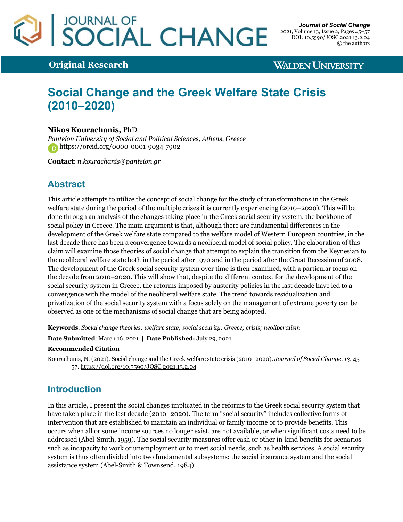# JOURNAL OF<br>SOCIAL CHANGE

**Original Research**

**WALDEN UNIVERSITY** 

## **Social Change and the Greek Welfare State Crisis (2010–2020)**

## **Nikos Kourachanis,** PhD

*Panteion University of Social and Political Sciences, Athens, Greece* https://orcid.org/0000-0001-9034-7902

**Contact**: *n.kourachanis@panteion.gr*

## **Abstract**

This article attempts to utilize the concept of social change for the study of transformations in the Greek welfare state during the period of the multiple crises it is currently experiencing (2010–2020). This will be done through an analysis of the changes taking place in the Greek social security system, the backbone of social policy in Greece. The main argument is that, although there are fundamental differences in the development of the Greek welfare state compared to the welfare model of Western European countries, in the last decade there has been a convergence towards a neoliberal model of social policy. The elaboration of this claim will examine those theories of social change that attempt to explain the transition from the Keynesian to the neoliberal welfare state both in the period after 1970 and in the period after the Great Recession of 2008. The development of the Greek social security system over time is then examined, with a particular focus on the decade from 2010–2020. This will show that, despite the different context for the development of the social security system in Greece, the reforms imposed by austerity policies in the last decade have led to a convergence with the model of the neoliberal welfare state. The trend towards residualization and privatization of the social security system with a focus solely on the management of extreme poverty can be observed as one of the mechanisms of social change that are being adopted.

**Keywords**: *Social change theories; welfare state; social security; Greece; crisis; neoliberalism*

**Date Submitted**: March 16, 2021 | **Date Published:** July 29, 2021

#### **Recommended Citation**

Kourachanis, N. (2021). Social change and the Greek welfare state crisis (2010–2020). *Journal of Social Change, 13*, 45– 57. https://doi.org/10.5590/JOSC.2021.13.2.04

## **Introduction**

In this article, I present the social changes implicated in the reforms to the Greek social security system that have taken place in the last decade (2010–2020). The term "social security" includes collective forms of intervention that are established to maintain an individual or family income or to provide benefits. This occurs when all or some income sources no longer exist, are not available, or when significant costs need to be addressed (Abel-Smith, 1959). The social security measures offer cash or other in-kind benefits for scenarios such as incapacity to work or unemployment or to meet social needs, such as health services. A social security system is thus often divided into two fundamental subsystems: the social insurance system and the social assistance system (Abel-Smith & Townsend, 1984).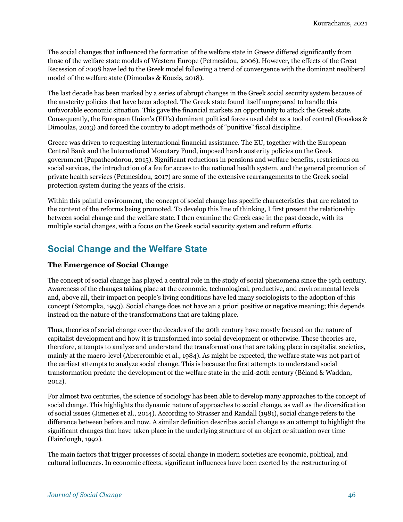The social changes that influenced the formation of the welfare state in Greece differed significantly from those of the welfare state models of Western Europe (Petmesidou, 2006). However, the effects of the Great Recession of 2008 have led to the Greek model following a trend of convergence with the dominant neoliberal model of the welfare state (Dimoulas & Kouzis, 2018).

The last decade has been marked by a series of abrupt changes in the Greek social security system because of the austerity policies that have been adopted. The Greek state found itself unprepared to handle this unfavorable economic situation. This gave the financial markets an opportunity to attack the Greek state. Consequently, the European Union's (EU's) dominant political forces used debt as a tool of control (Fouskas & Dimoulas, 2013) and forced the country to adopt methods of "punitive" fiscal discipline.

Greece was driven to requesting international financial assistance. The EU, together with the European Central Bank and the International Monetary Fund, imposed harsh austerity policies on the Greek government (Papatheodorou, 2015). Significant reductions in pensions and welfare benefits, restrictions on social services, the introduction of a fee for access to the national health system, and the general promotion of private health services (Petmesidou, 2017) are some of the extensive rearrangements to the Greek social protection system during the years of the crisis.

Within this painful environment, the concept of social change has specific characteristics that are related to the content of the reforms being promoted. To develop this line of thinking, I first present the relationship between social change and the welfare state. I then examine the Greek case in the past decade, with its multiple social changes, with a focus on the Greek social security system and reform efforts.

## **Social Change and the Welfare State**

## **The Emergence of Social Change**

The concept of social change has played a central role in the study of social phenomena since the 19th century. Awareness of the changes taking place at the economic, technological, productive, and environmental levels and, above all, their impact on people's living conditions have led many sociologists to the adoption of this concept (Sztompka, 1993). Social change does not have an a priori positive or negative meaning; this depends instead on the nature of the transformations that are taking place.

Thus, theories of social change over the decades of the 20th century have mostly focused on the nature of capitalist development and how it is transformed into social development or otherwise. These theories are, therefore, attempts to analyze and understand the transformations that are taking place in capitalist societies, mainly at the macro-level (Abercrombie et al., 1984). As might be expected, the welfare state was not part of the earliest attempts to analyze social change. This is because the first attempts to understand social transformation predate the development of the welfare state in the mid-20th century (Béland & Waddan, 2012).

For almost two centuries, the science of sociology has been able to develop many approaches to the concept of social change. This highlights the dynamic nature of approaches to social change, as well as the diversification of social issues (Jimenez et al., 2014). According to Strasser and Randall (1981), social change refers to the difference between before and now. A similar definition describes social change as an attempt to highlight the significant changes that have taken place in the underlying structure of an object or situation over time (Fairclough, 1992).

The main factors that trigger processes of social change in modern societies are economic, political, and cultural influences. In economic effects, significant influences have been exerted by the restructuring of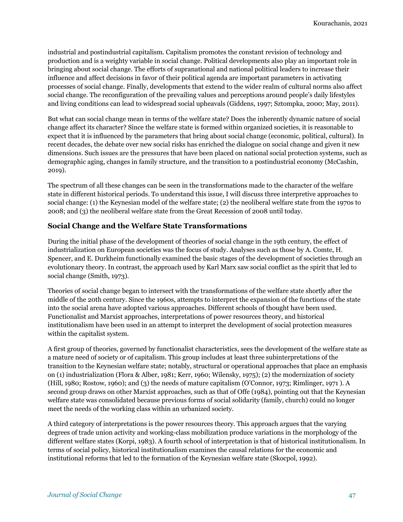industrial and postindustrial capitalism. Capitalism promotes the constant revision of technology and production and is a weighty variable in social change. Political developments also play an important role in bringing about social change. The efforts of supranational and national political leaders to increase their influence and affect decisions in favor of their political agenda are important parameters in activating processes of social change. Finally, developments that extend to the wider realm of cultural norms also affect social change. The reconfiguration of the prevailing values and perceptions around people's daily lifestyles and living conditions can lead to widespread social upheavals (Giddens, 1997; Sztompka, 2000; May, 2011).

But what can social change mean in terms of the welfare state? Does the inherently dynamic nature of social change affect its character? Since the welfare state is formed within organized societies, it is reasonable to expect that it is influenced by the parameters that bring about social change (economic, political, cultural). In recent decades, the debate over new social risks has enriched the dialogue on social change and given it new dimensions. Such issues are the pressures that have been placed on national social protection systems, such as demographic aging, changes in family structure, and the transition to a postindustrial economy (McCashin, 2019).

The spectrum of all these changes can be seen in the transformations made to the character of the welfare state in different historical periods. To understand this issue, I will discuss three interpretive approaches to social change: (1) the Keynesian model of the welfare state; (2) the neoliberal welfare state from the 1970s to 2008; and (3) the neoliberal welfare state from the Great Recession of 2008 until today.

## **Social Change and the Welfare State Transformations**

During the initial phase of the development of theories of social change in the 19th century, the effect of industrialization on European societies was the focus of study. Analyses such as those by A. Comte, H. Spencer, and E. Durkheim functionally examined the basic stages of the development of societies through an evolutionary theory. In contrast, the approach used by Karl Marx saw social conflict as the spirit that led to social change (Smith, 1973).

Theories of social change began to intersect with the transformations of the welfare state shortly after the middle of the 20th century. Since the 1960s, attempts to interpret the expansion of the functions of the state into the social arena have adopted various approaches. Different schools of thought have been used. Functionalist and Marxist approaches, interpretations of power resources theory, and historical institutionalism have been used in an attempt to interpret the development of social protection measures within the capitalist system.

A first group of theories, governed by functionalist characteristics, sees the development of the welfare state as a mature need of society or of capitalism. This group includes at least three subinterpretations of the transition to the Keynesian welfare state; notably, structural or operational approaches that place an emphasis on (1) industrialization (Flora & Alber, 1981; Kerr, 1960; Wilensky, 1975); (2) the modernization of society (Hill, 1980; Rostow, 1960); and (3) the needs of mature capitalism (O'Connor, 1973; Rimlinger, 1971 ). A second group draws on other Marxist approaches, such as that of Offe (1984), pointing out that the Keynesian welfare state was consolidated because previous forms of social solidarity (family, church) could no longer meet the needs of the working class within an urbanized society.

A third category of interpretations is the power resources theory. This approach argues that the varying degrees of trade union activity and working-class mobilization produce variations in the morphology of the different welfare states (Korpi, 1983). A fourth school of interpretation is that of historical institutionalism. In terms of social policy, historical institutionalism examines the causal relations for the economic and institutional reforms that led to the formation of the Keynesian welfare state (Skocpol, 1992).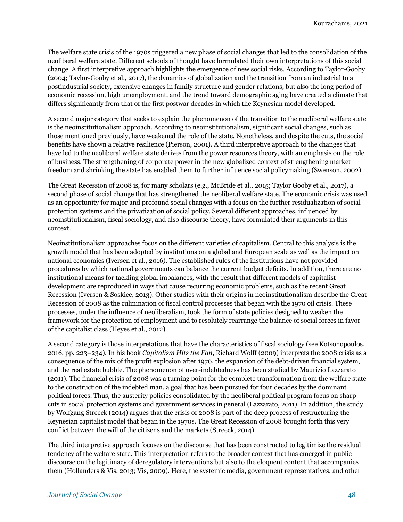The welfare state crisis of the 1970s triggered a new phase of social changes that led to the consolidation of the neoliberal welfare state. Different schools of thought have formulated their own interpretations of this social change. A first interpretive approach highlights the emergence of new social risks. According to Taylor-Gooby (2004; Taylor-Gooby et al., 2017), the dynamics of globalization and the transition from an industrial to a postindustrial society, extensive changes in family structure and gender relations, but also the long period of economic recession, high unemployment, and the trend toward demographic aging have created a climate that differs significantly from that of the first postwar decades in which the Keynesian model developed.

A second major category that seeks to explain the phenomenon of the transition to the neoliberal welfare state is the neoinstitutionalism approach. According to neoinstitutionalism, significant social changes, such as those mentioned previously, have weakened the role of the state. Nonetheless, and despite the cuts, the social benefits have shown a relative resilience (Pierson, 2001). A third interpretive approach to the changes that have led to the neoliberal welfare state derives from the power resources theory, with an emphasis on the role of business. The strengthening of corporate power in the new globalized context of strengthening market freedom and shrinking the state has enabled them to further influence social policymaking (Swenson, 2002).

The Great Recession of 2008 is, for many scholars (e.g., McBride et al., 2015; Taylor Gooby et al., 2017), a second phase of social change that has strengthened the neoliberal welfare state. The economic crisis was used as an opportunity for major and profound social changes with a focus on the further residualization of social protection systems and the privatization of social policy. Several different approaches, influenced by neoinstitutionalism, fiscal sociology, and also discourse theory, have formulated their arguments in this context.

Neoinstitutionalism approaches focus on the different varieties of capitalism. Central to this analysis is the growth model that has been adopted by institutions on a global and European scale as well as the impact on national economies (Iversen et al., 2016). The established rules of the institutions have not provided procedures by which national governments can balance the current budget deficits. In addition, there are no institutional means for tackling global imbalances, with the result that different models of capitalist development are reproduced in ways that cause recurring economic problems, such as the recent Great Recession (Iversen & Soskice, 2013). Other studies with their origins in neoinstitutionalism describe the Great Recession of 2008 as the culmination of fiscal control processes that began with the 1970 oil crisis. These processes, under the influence of neoliberalism, took the form of state policies designed to weaken the framework for the protection of employment and to resolutely rearrange the balance of social forces in favor of the capitalist class (Heyes et al., 2012).

A second category is those interpretations that have the characteristics of fiscal sociology (see Kotsonopoulos, 2016, pp. 223–234). In his book *Capitalism Hits the Fan*, Richard Wolff (2009) interprets the 2008 crisis as a consequence of the mix of the profit explosion after 1970, the expansion of the debt-driven financial system, and the real estate bubble. The phenomenon of over-indebtedness has been studied by Maurizio Lazzarato (2011). The financial crisis of 2008 was a turning point for the complete transformation from the welfare state to the construction of the indebted man, a goal that has been pursued for four decades by the dominant political forces. Thus, the austerity policies consolidated by the neoliberal political program focus on sharp cuts in social protection systems and government services in general (Lazzarato, 2011). In addition, the study by Wolfgang Streeck (2014) argues that the crisis of 2008 is part of the deep process of restructuring the Keynesian capitalist model that began in the 1970s. The Great Recession of 2008 brought forth this very conflict between the will of the citizens and the markets (Streeck, 2014).

The third interpretive approach focuses on the discourse that has been constructed to legitimize the residual tendency of the welfare state. This interpretation refers to the broader context that has emerged in public discourse on the legitimacy of deregulatory interventions but also to the eloquent content that accompanies them (Hollanders & Vis, 2013; Vis, 2009). Here, the systemic media, government representatives, and other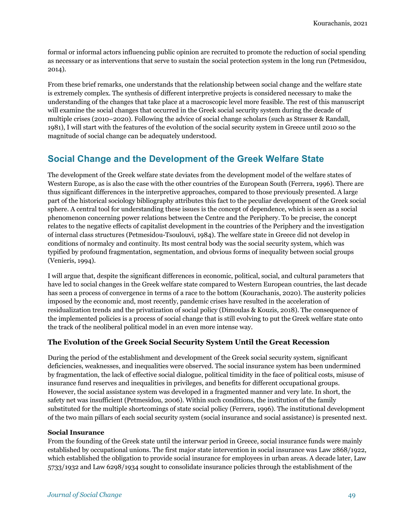formal or informal actors influencing public opinion are recruited to promote the reduction of social spending as necessary or as interventions that serve to sustain the social protection system in the long run (Petmesidou, 2014).

From these brief remarks, one understands that the relationship between social change and the welfare state is extremely complex. The synthesis of different interpretive projects is considered necessary to make the understanding of the changes that take place at a macroscopic level more feasible. The rest of this manuscript will examine the social changes that occurred in the Greek social security system during the decade of multiple crises (2010–2020). Following the advice of social change scholars (such as Strasser & Randall, 1981), I will start with the features of the evolution of the social security system in Greece until 2010 so the magnitude of social change can be adequately understood.

## **Social Change and the Development of the Greek Welfare State**

The development of the Greek welfare state deviates from the development model of the welfare states of Western Europe, as is also the case with the other countries of the European South (Ferrera, 1996). There are thus significant differences in the interpretive approaches, compared to those previously presented. A large part of the historical sociology bibliography attributes this fact to the peculiar development of the Greek social sphere. A central tool for understanding these issues is the concept of dependence, which is seen as a social phenomenon concerning power relations between the Centre and the Periphery. To be precise, the concept relates to the negative effects of capitalist development in the countries of the Periphery and the investigation of internal class structures (Petmesidou-Tsoulouvi, 1984). The welfare state in Greece did not develop in conditions of normalcy and continuity. Its most central body was the social security system, which was typified by profound fragmentation, segmentation, and obvious forms of inequality between social groups (Venieris, 1994).

I will argue that, despite the significant differences in economic, political, social, and cultural parameters that have led to social changes in the Greek welfare state compared to Western European countries, the last decade has seen a process of convergence in terms of a race to the bottom (Kourachanis, 2020). The austerity policies imposed by the economic and, most recently, pandemic crises have resulted in the acceleration of residualization trends and the privatization of social policy (Dimoulas & Kouzis, 2018). The consequence of the implemented policies is a process of social change that is still evolving to put the Greek welfare state onto the track of the neoliberal political model in an even more intense way.

## **The Evolution of the Greek Social Security System Until the Great Recession**

During the period of the establishment and development of the Greek social security system, significant deficiencies, weaknesses, and inequalities were observed. The social insurance system has been undermined by fragmentation, the lack of effective social dialogue, political timidity in the face of political costs, misuse of insurance fund reserves and inequalities in privileges, and benefits for different occupational groups. However, the social assistance system was developed in a fragmented manner and very late. In short, the safety net was insufficient (Petmesidou, 2006). Within such conditions, the institution of the family substituted for the multiple shortcomings of state social policy (Ferrera, 1996). The institutional development of the two main pillars of each social security system (social insurance and social assistance) is presented next.

#### **Social Insurance**

From the founding of the Greek state until the interwar period in Greece, social insurance funds were mainly established by occupational unions. The first major state intervention in social insurance was Law 2868/1922, which established the obligation to provide social insurance for employees in urban areas. A decade later, Law 5733/1932 and Law 6298/1934 sought to consolidate insurance policies through the establishment of the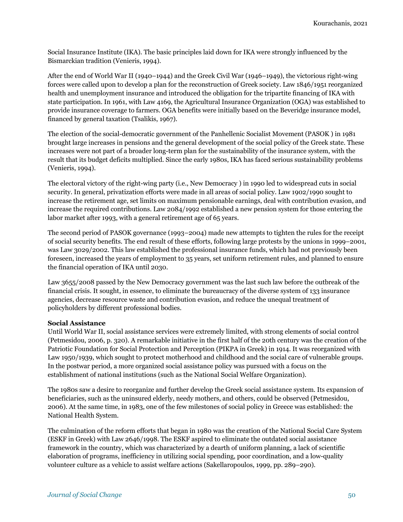Social Insurance Institute (IKA). The basic principles laid down for IKA were strongly influenced by the Bismarckian tradition (Venieris, 1994).

After the end of World War II (1940–1944) and the Greek Civil War (1946–1949), the victorious right-wing forces were called upon to develop a plan for the reconstruction of Greek society. Law 1846/1951 reorganized health and unemployment insurance and introduced the obligation for the tripartite financing of IKA with state participation. In 1961, with Law 4169, the Agricultural Insurance Organization (OGA) was established to provide insurance coverage to farmers. OGA benefits were initially based on the Beveridge insurance model, financed by general taxation (Tsalikis, 1967).

The election of the social-democratic government of the Panhellenic Socialist Movement (PASOK ) in 1981 brought large increases in pensions and the general development of the social policy of the Greek state. These increases were not part of a broader long-term plan for the sustainability of the insurance system, with the result that its budget deficits multiplied. Since the early 1980s, IKA has faced serious sustainability problems (Venieris, 1994).

The electoral victory of the right-wing party (i.e., New Democracy ) in 1990 led to widespread cuts in social security. In general, privatization efforts were made in all areas of social policy. Law 1902/1990 sought to increase the retirement age, set limits on maximum pensionable earnings, deal with contribution evasion, and increase the required contributions. Law 2084/1992 established a new pension system for those entering the labor market after 1993, with a general retirement age of 65 years.

The second period of PASOK governance (1993–2004) made new attempts to tighten the rules for the receipt of social security benefits. The end result of these efforts, following large protests by the unions in 1999–2001, was Law 3029/2002. This law established the professional insurance funds, which had not previously been foreseen, increased the years of employment to 35 years, set uniform retirement rules, and planned to ensure the financial operation of IKA until 2030.

Law 3655/2008 passed by the New Democracy government was the last such law before the outbreak of the financial crisis. It sought, in essence, to eliminate the bureaucracy of the diverse system of 133 insurance agencies, decrease resource waste and contribution evasion, and reduce the unequal treatment of policyholders by different professional bodies.

#### **Social Assistance**

Until World War II, social assistance services were extremely limited, with strong elements of social control (Petmesidou, 2006, p. 320). A remarkable initiative in the first half of the 20th century was the creation of the Patriotic Foundation for Social Protection and Perception (PIKPA in Greek) in 1914. It was reorganized with Law 1950/1939, which sought to protect motherhood and childhood and the social care of vulnerable groups. In the postwar period, a more organized social assistance policy was pursued with a focus on the establishment of national institutions (such as the National Social Welfare Organization).

The 1980s saw a desire to reorganize and further develop the Greek social assistance system. Its expansion of beneficiaries, such as the uninsured elderly, needy mothers, and others, could be observed (Petmesidou, 2006). At the same time, in 1983, one of the few milestones of social policy in Greece was established: the National Health System.

The culmination of the reform efforts that began in 1980 was the creation of the National Social Care System (ESKF in Greek) with Law 2646/1998. The ESKF aspired to eliminate the outdated social assistance framework in the country, which was characterized by a dearth of uniform planning, a lack of scientific elaboration of programs, inefficiency in utilizing social spending, poor coordination, and a low-quality volunteer culture as a vehicle to assist welfare actions (Sakellaropoulos, 1999, pp. 289–290).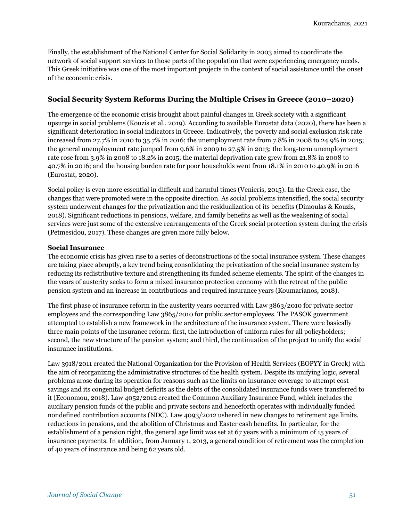Finally, the establishment of the National Center for Social Solidarity in 2003 aimed to coordinate the network of social support services to those parts of the population that were experiencing emergency needs. This Greek initiative was one of the most important projects in the context of social assistance until the onset of the economic crisis.

## **Social Security System Reforms During the Multiple Crises in Greece (2010–2020)**

The emergence of the economic crisis brought about painful changes in Greek society with a significant upsurge in social problems (Kouzis et al., 2019). According to available Eurostat data (2020), there has been a significant deterioration in social indicators in Greece. Indicatively, the poverty and social exclusion risk rate increased from 27.7% in 2010 to 35.7% in 2016; the unemployment rate from 7.8% in 2008 to 24.9% in 2015; the general unemployment rate jumped from 9.6% in 2009 to 27.5% in 2013; the long-term unemployment rate rose from 3.9% in 2008 to 18.2% in 2015; the material deprivation rate grew from 21.8% in 2008 to 40.7% in 2016; and the housing burden rate for poor households went from 18.1% in 2010 to 40.9% in 2016 (Eurostat, 2020).

Social policy is even more essential in difficult and harmful times (Venieris, 2015). In the Greek case, the changes that were promoted were in the opposite direction. As social problems intensified, the social security system underwent changes for the privatization and the residualization of its benefits (Dimoulas & Kouzis, 2018). Significant reductions in pensions, welfare, and family benefits as well as the weakening of social services were just some of the extensive rearrangements of the Greek social protection system during the crisis (Petmesidou, 2017). These changes are given more fully below.

#### **Social Insurance**

The economic crisis has given rise to a series of deconstructions of the social insurance system. These changes are taking place abruptly, a key trend being consolidating the privatization of the social insurance system by reducing its redistributive texture and strengthening its funded scheme elements. The spirit of the changes in the years of austerity seeks to form a mixed insurance protection economy with the retreat of the public pension system and an increase in contributions and required insurance years (Koumarianos, 2018).

The first phase of insurance reform in the austerity years occurred with Law 3863/2010 for private sector employees and the corresponding Law 3865/2010 for public sector employees. The PASOK government attempted to establish a new framework in the architecture of the insurance system. There were basically three main points of the insurance reform: first, the introduction of uniform rules for all policyholders; second, the new structure of the pension system; and third, the continuation of the project to unify the social insurance institutions.

Law 3918/2011 created the National Organization for the Provision of Health Services (EOPYY in Greek) with the aim of reorganizing the administrative structures of the health system. Despite its unifying logic, several problems arose during its operation for reasons such as the limits on insurance coverage to attempt cost savings and its congenital budget deficits as the debts of the consolidated insurance funds were transferred to it (Economou, 2018). Law 4052/2012 created the Common Auxiliary Insurance Fund, which includes the auxiliary pension funds of the public and private sectors and henceforth operates with individually funded nondefined contribution accounts (NDC). Law 4093/2012 ushered in new changes to retirement age limits, reductions in pensions, and the abolition of Christmas and Easter cash benefits. In particular, for the establishment of a pension right, the general age limit was set at 67 years with a minimum of 15 years of insurance payments. In addition, from January 1, 2013, a general condition of retirement was the completion of 40 years of insurance and being 62 years old.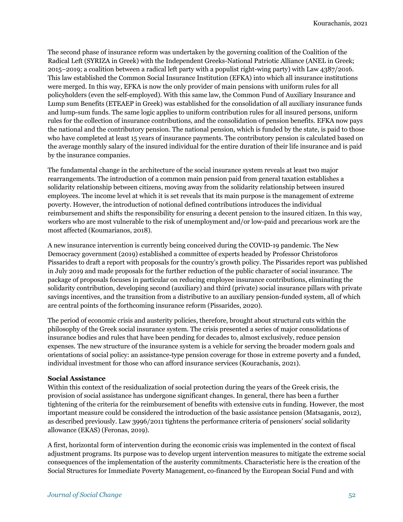The second phase of insurance reform was undertaken by the governing coalition of the Coalition of the Radical Left (SYRIZA in Greek) with the Independent Greeks-National Patriotic Alliance (ANEL in Greek; 2015–2019; a coalition between a radical left party with a populist right-wing party) with Law 4387/2016. This law established the Common Social Insurance Institution (EFKA) into which all insurance institutions were merged. In this way, EFKA is now the only provider of main pensions with uniform rules for all policyholders (even the self-employed). With this same law, the Common Fund of Auxiliary Insurance and Lump sum Benefits (ETEAEP in Greek) was established for the consolidation of all auxiliary insurance funds and lump-sum funds. The same logic applies to uniform contribution rules for all insured persons, uniform rules for the collection of insurance contributions, and the consolidation of pension benefits. EFKA now pays the national and the contributory pension. The national pension, which is funded by the state, is paid to those who have completed at least 15 years of insurance payments. The contributory pension is calculated based on the average monthly salary of the insured individual for the entire duration of their life insurance and is paid by the insurance companies.

The fundamental change in the architecture of the social insurance system reveals at least two major rearrangements. The introduction of a common main pension paid from general taxation establishes a solidarity relationship between citizens, moving away from the solidarity relationship between insured employees. The income level at which it is set reveals that its main purpose is the management of extreme poverty. However, the introduction of notional defined contributions introduces the individual reimbursement and shifts the responsibility for ensuring a decent pension to the insured citizen. In this way, workers who are most vulnerable to the risk of unemployment and/or low-paid and precarious work are the most affected (Koumarianos, 2018).

A new insurance intervention is currently being conceived during the COVID-19 pandemic. The New Democracy government (2019) established a committee of experts headed by Professor Christoforos Pissarides to draft a report with proposals for the country's growth policy. The Pissarides report was published in July 2019 and made proposals for the further reduction of the public character of social insurance. The package of proposals focuses in particular on reducing employee insurance contributions, eliminating the solidarity contribution, developing second (auxiliary) and third (private) social insurance pillars with private savings incentives, and the transition from a distributive to an auxiliary pension-funded system, all of which are central points of the forthcoming insurance reform (Pissarides, 2020).

The period of economic crisis and austerity policies, therefore, brought about structural cuts within the philosophy of the Greek social insurance system. The crisis presented a series of major consolidations of insurance bodies and rules that have been pending for decades to, almost exclusively, reduce pension expenses. The new structure of the insurance system is a vehicle for serving the broader modern goals and orientations of social policy: an assistance-type pension coverage for those in extreme poverty and a funded, individual investment for those who can afford insurance services (Kourachanis, 2021).

#### **Social Assistance**

Within this context of the residualization of social protection during the years of the Greek crisis, the provision of social assistance has undergone significant changes. In general, there has been a further tightening of the criteria for the reimbursement of benefits with extensive cuts in funding. However, the most important measure could be considered the introduction of the basic assistance pension (Matsaganis, 2012), as described previously. Law 3996/2011 tightens the performance criteria of pensioners' social solidarity allowance (EKAS) (Feronas, 2019).

A first, horizontal form of intervention during the economic crisis was implemented in the context of fiscal adjustment programs. Its purpose was to develop urgent intervention measures to mitigate the extreme social consequences of the implementation of the austerity commitments. Characteristic here is the creation of the Social Structures for Immediate Poverty Management, co-financed by the European Social Fund and with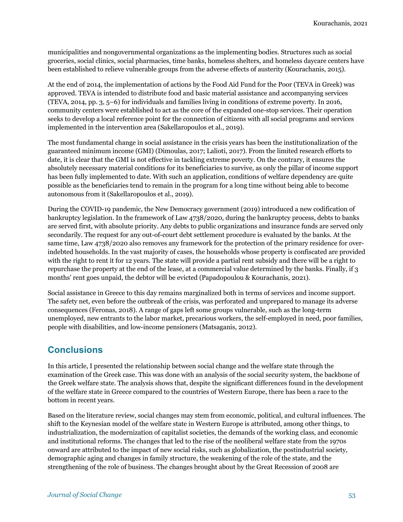municipalities and nongovernmental organizations as the implementing bodies. Structures such as social groceries, social clinics, social pharmacies, time banks, homeless shelters, and homeless daycare centers have been established to relieve vulnerable groups from the adverse effects of austerity (Kourachanis, 2015).

At the end of 2014, the implementation of actions by the Food Aid Fund for the Poor (TEVA in Greek) was approved. TEVA is intended to distribute food and basic material assistance and accompanying services (TEVA, 2014, pp. 3, 5–6) for individuals and families living in conditions of extreme poverty. In 2016, community centers were established to act as the core of the expanded one-stop services. Their operation seeks to develop a local reference point for the connection of citizens with all social programs and services implemented in the intervention area (Sakellaropoulos et al., 2019).

The most fundamental change in social assistance in the crisis years has been the institutionalization of the guaranteed minimum income (GMI) (Dimoulas, 2017; Lalioti, 2017). From the limited research efforts to date, it is clear that the GMI is not effective in tackling extreme poverty. On the contrary, it ensures the absolutely necessary material conditions for its beneficiaries to survive, as only the pillar of income support has been fully implemented to date. With such an application, conditions of welfare dependency are quite possible as the beneficiaries tend to remain in the program for a long time without being able to become autonomous from it (Sakellaropoulos et al., 2019).

During the COVID-19 pandemic, the New Democracy government (2019) introduced a new codification of bankruptcy legislation. In the framework of Law 4738/2020, during the bankruptcy process, debts to banks are served first, with absolute priority. Any debts to public organizations and insurance funds are served only secondarily. The request for any out-of-court debt settlement procedure is evaluated by the banks. At the same time, Law 4738/2020 also removes any framework for the protection of the primary residence for overindebted households. In the vast majority of cases, the households whose property is confiscated are provided with the right to rent it for 12 years. The state will provide a partial rent subsidy and there will be a right to repurchase the property at the end of the lease, at a commercial value determined by the banks. Finally, if 3 months' rent goes unpaid, the debtor will be evicted (Papadopoulou & Kourachanis, 2021).

Social assistance in Greece to this day remains marginalized both in terms of services and income support. The safety net, even before the outbreak of the crisis, was perforated and unprepared to manage its adverse consequences (Feronas, 2018). A range of gaps left some groups vulnerable, such as the long-term unemployed, new entrants to the labor market, precarious workers, the self-employed in need, poor families, people with disabilities, and low-income pensioners (Matsaganis, 2012).

## **Conclusions**

In this article, I presented the relationship between social change and the welfare state through the examination of the Greek case. This was done with an analysis of the social security system, the backbone of the Greek welfare state. The analysis shows that, despite the significant differences found in the development of the welfare state in Greece compared to the countries of Western Europe, there has been a race to the bottom in recent years.

Based on the literature review, social changes may stem from economic, political, and cultural influences. The shift to the Keynesian model of the welfare state in Western Europe is attributed, among other things, to industrialization, the modernization of capitalist societies, the demands of the working class, and economic and institutional reforms. The changes that led to the rise of the neoliberal welfare state from the 1970s onward are attributed to the impact of new social risks, such as globalization, the postindustrial society, demographic aging and changes in family structure, the weakening of the role of the state, and the strengthening of the role of business. The changes brought about by the Great Recession of 2008 are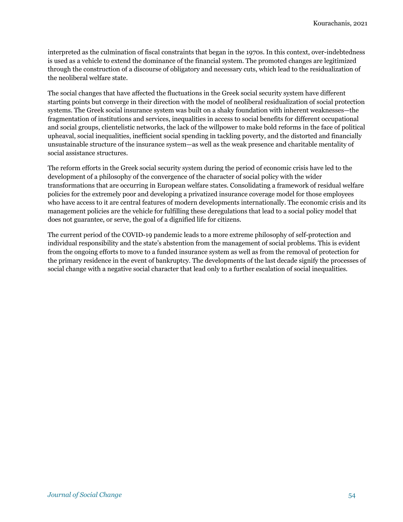interpreted as the culmination of fiscal constraints that began in the 1970s. In this context, over-indebtedness is used as a vehicle to extend the dominance of the financial system. The promoted changes are legitimized through the construction of a discourse of obligatory and necessary cuts, which lead to the residualization of the neoliberal welfare state.

The social changes that have affected the fluctuations in the Greek social security system have different starting points but converge in their direction with the model of neoliberal residualization of social protection systems. The Greek social insurance system was built on a shaky foundation with inherent weaknesses—the fragmentation of institutions and services, inequalities in access to social benefits for different occupational and social groups, clientelistic networks, the lack of the willpower to make bold reforms in the face of political upheaval, social inequalities, inefficient social spending in tackling poverty, and the distorted and financially unsustainable structure of the insurance system—as well as the weak presence and charitable mentality of social assistance structures.

The reform efforts in the Greek social security system during the period of economic crisis have led to the development of a philosophy of the convergence of the character of social policy with the wider transformations that are occurring in European welfare states. Consolidating a framework of residual welfare policies for the extremely poor and developing a privatized insurance coverage model for those employees who have access to it are central features of modern developments internationally. The economic crisis and its management policies are the vehicle for fulfilling these deregulations that lead to a social policy model that does not guarantee, or serve, the goal of a dignified life for citizens.

The current period of the COVID-19 pandemic leads to a more extreme philosophy of self-protection and individual responsibility and the state's abstention from the management of social problems. This is evident from the ongoing efforts to move to a funded insurance system as well as from the removal of protection for the primary residence in the event of bankruptcy. The developments of the last decade signify the processes of social change with a negative social character that lead only to a further escalation of social inequalities.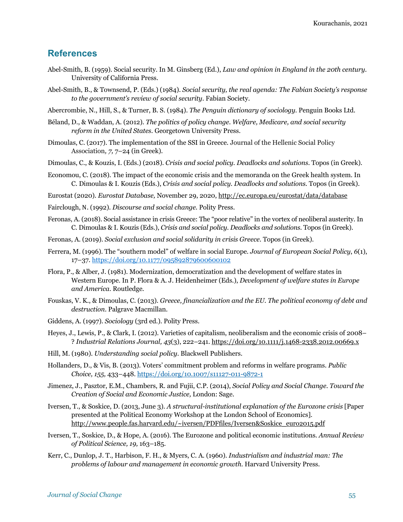## **References**

- Abel-Smith, B. (1959). Social security. In M. Ginsberg (Ed.), *Law and opinion in England in the 20th century*. University of California Press.
- Abel-Smith, B., & Townsend, P. (Eds.) (1984). *Social security, the real agenda: The Fabian Society's response to the government's review of social security*. Fabian Society.
- Abercrombie, N., Hill, S., & Turner, B. S. (1984). *The Penguin dictionary of sociology.* Penguin Books Ltd.
- Béland, D., & Waddan, A. (2012). *The politics of policy change. Welfare, Medicare, and social security reform in the United States.* Georgetown University Press.
- Dimoulas, C. (2017). The implementation of the SSI in Greece. Journal of the Hellenic Social Policy Association*, 7,* 7–24 (in Greek).
- Dimoulas, C., & Kouzis, I. (Eds.) (2018). *Crisis and social policy. Deadlocks and solutions.* Topos (in Greek).
- Economou, C. (2018). The impact of the economic crisis and the memoranda on the Greek health system. In C. Dimoulas & I. Kouzis (Eds.), *Crisis and social policy. Deadlocks and solutions.* Topos (in Greek).
- Eurostat (2020). *Eurostat Database,* November 29, 2020, http://ec.europa.eu/eurostat/data/database
- Fairclough, Ν. (1992). *Discourse and social change.* Polity Press.
- Feronas, A. (2018). Social assistance in crisis Greece: The "poor relative" in the vortex of neoliberal austerity. In C. Dimoulas & I. Kouzis (Eds.), *Crisis and social policy. Deadlocks and solutions.* Topos (in Greek).
- Feronas, A. (2019). *Social exclusion and social solidarity in crisis Greece.* Topos (in Greek).
- Ferrera, M. (1996). The "southern model" of welfare in social Europe. *Journal of European Social Policy*, *6*(1), 17–37. https://doi.org/10.1177/095892879600600102
- Flora, P., & Alber, J. (1981). Modernization, democratization and the development of welfare states in Western Europe. In P. Flora & A. J. Heidenheimer (Eds.), *Development of welfare states in Europe and America.* Routledge*.*
- Fouskas, V. K., & Dimoulas, C. (2013). *Greece, financialization and the EU. The political economy of debt and destruction*. Palgrave Macmillan.
- Giddens, A. (1997). *Sociology* (3rd ed.). Polity Press.
- Heyes, J., Lewis, P., & Clark, I. (2012). Varieties of capitalism, neoliberalism and the economic crisis of 2008– ? *Industrial Relations Journal, 43*(3), 222–241. https://doi.org/10.1111/j.1468-2338.2012.00669.x
- Hill, M. (1980). *Understanding social policy.* Blackwell Publishers.
- Hollanders, D., & Vis, B. (2013). Voters' commitment problem and reforms in welfare programs. *Public Choice, 155,* 433–448. https://doi.org/10.1007/s11127-011-9872-1
- Jimenez, J., Pasztor, E.M., Chambers, R. and Fujii, C.P. (2014), *Social Policy and Social Change. Toward the Creation of Social and Economic Justice,* London: Sage.
- Iversen, T., & Soskice, D. (2013, June 3). *A structural-institutional explanation of the Eurozone crisis* [Paper presented at the Political Economy Workshop at the London School of Economics]. http://www.people.fas.harvard.edu/~iversen/PDFfiles/Iversen&Soskice\_euro2015.pdf
- Iversen, T., Soskice, D., & Hope, A. (2016). The Eurozone and political economic institutions. *Annual Review of Political Science, 19,* 163–185.
- Kerr, C., Dunlop, J. T., Harbison, F. H., & Myers, C. A. (1960). *Industrialism and industrial man: The problems of labour and management in economic growth.* Harvard University Press.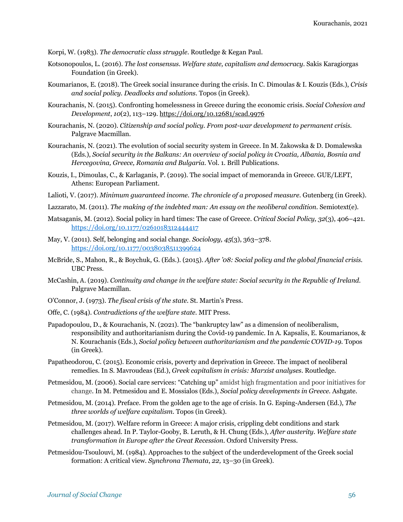Korpi, W. (1983). *The democratic class struggle*. Routledge & Kegan Paul.

- Kotsonopoulos, L. (2016). *The lost consensus. Welfare state, capitalism and democracy.* Sakis Karagiorgas Foundation (in Greek).
- Koumarianos, E. (2018). The Greek social insurance during the crisis. In C. Dimoulas & I. Kouzis (Eds.), *Crisis and social policy. Deadlocks and solutions*. Topos (in Greek).
- Kourachanis, N. (2015). Confronting homelessness in Greece during the economic crisis. *Social Cohesion and Development*, *10*(2), 113–129. https://doi.org/10.12681/scad.9976
- Kourachanis, N. (2020). *Citizenship and social policy. From post-war development to permanent crisis.*  Palgrave Macmillan.
- Kourachanis, N. (2021). The evolution of social security system in Greece. In M. Żakowska & D. Domalewska (Eds.), *Social security in the Balkans: An overview of social policy in Croatia, Albania, Bosnia and Hercegovina, Greece, Romania and Bulgaria.* Vol. 1. Brill Publications.
- Kouzis, I., Dimoulas, C., & Karlaganis, P. (2019). The social impact of memoranda in Greece. GUE/LEFT, Athens: European Parliament.
- Lalioti, V. (2017). *Minimum guaranteed income. The chronicle of a proposed measure*. Gutenberg (in Greek).
- Lazzarato, M. (2011). *The making of the indebted man: An essay on the neoliberal condition.* Semiotext(e).
- Matsaganis, M. (2012). Social policy in hard times: The case of Greece. *Critical Social Policy, 32*(3), 406–421. https://doi.org/10.1177/0261018312444417
- May, V. (2011). Self, belonging and social change. *Sociology, 45*(3), 363–378. https://doi.org/10.1177/0038038511399624
- McBride, S., Mahon, R., & Boychuk, G. (Eds.). (2015). *After '08: Social policy and the global financial crisis.* UBC Press.
- McCashin, Α. (2019). *Continuity and change in the welfare state: Social security in the Republic of Ireland.* Palgrave Macmillan.
- O'Connor, J. (1973). *The fiscal crisis of the state.* St. Martin's Press.
- Offe, C. (1984). *Contradictions of the welfare state.* MIT Press.
- Papadopoulou, D., & Kourachanis, N. (2021). The "bankruptcy law" as a dimension of neoliberalism, responsibility and authoritarianism during the Covid-19 pandemic. In A. Kapsalis, E. Koumarianos, & N. Kourachanis (Eds.), *Social policy between authoritarianism and the pandemic COVID-19.* Topos (in Greek).
- Papatheodorou, C. (2015). Economic crisis, poverty and deprivation in Greece. The impact of neoliberal remedies. In S. Mavroudeas (Ed.), *Greek capitalism in crisis: Marxist analyses*. Routledge.
- Petmesidou, M. (2006). Social care services: "Catching up" amidst high fragmentation and poor initiatives for change. In M. Petmesidou and E. Mossialos (Eds.), *Social policy developments in Greece.* Ashgate.
- Petmesidou, M. (2014). Preface. From the golden age to the age of crisis. In G. Esping-Andersen (Ed.), *The three worlds of welfare capitalism.* Topos (in Greek).
- Petmesidou, M. (2017). Welfare reform in Greece: A major crisis, crippling debt conditions and stark challenges ahead. In P. Taylor-Gooby, B. Leruth, & H. Chung (Eds.), *After austerity. Welfare state transformation in Europe after the Great Recession.* Oxford University Press.
- Petmesidou-Tsoulouvi, M. (1984). Approaches to the subject of the underdevelopment of the Greek social formation: A critical view. *Synchrona Themata*, *22,* 13–30 (in Greek).